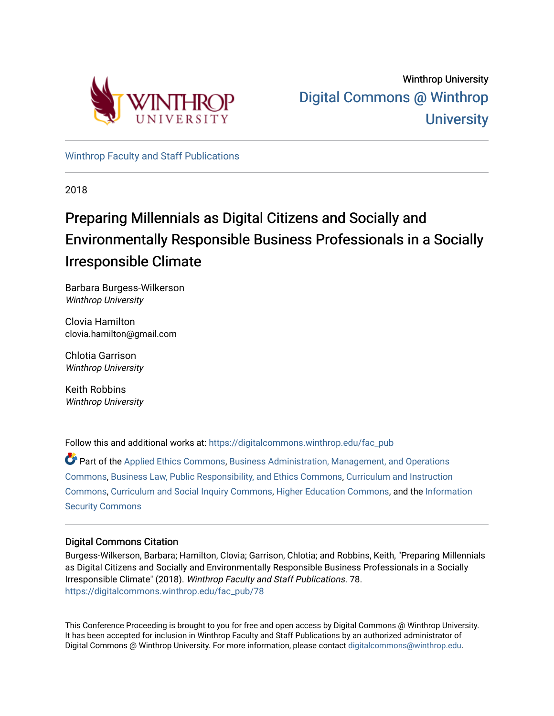

[Winthrop Faculty and Staff Publications](https://digitalcommons.winthrop.edu/fac_pub) 

2018

# Preparing Millennials as Digital Citizens and Socially and Environmentally Responsible Business Professionals in a Socially Irresponsible Climate

Barbara Burgess-Wilkerson Winthrop University

Clovia Hamilton clovia.hamilton@gmail.com

Chlotia Garrison Winthrop University

Keith Robbins Winthrop University

Follow this and additional works at: [https://digitalcommons.winthrop.edu/fac\\_pub](https://digitalcommons.winthrop.edu/fac_pub?utm_source=digitalcommons.winthrop.edu%2Ffac_pub%2F78&utm_medium=PDF&utm_campaign=PDFCoverPages)

Part of the [Applied Ethics Commons](http://network.bepress.com/hgg/discipline/1392?utm_source=digitalcommons.winthrop.edu%2Ffac_pub%2F78&utm_medium=PDF&utm_campaign=PDFCoverPages), [Business Administration, Management, and Operations](http://network.bepress.com/hgg/discipline/623?utm_source=digitalcommons.winthrop.edu%2Ffac_pub%2F78&utm_medium=PDF&utm_campaign=PDFCoverPages) [Commons](http://network.bepress.com/hgg/discipline/623?utm_source=digitalcommons.winthrop.edu%2Ffac_pub%2F78&utm_medium=PDF&utm_campaign=PDFCoverPages), [Business Law, Public Responsibility, and Ethics Commons](http://network.bepress.com/hgg/discipline/628?utm_source=digitalcommons.winthrop.edu%2Ffac_pub%2F78&utm_medium=PDF&utm_campaign=PDFCoverPages), [Curriculum and Instruction](http://network.bepress.com/hgg/discipline/786?utm_source=digitalcommons.winthrop.edu%2Ffac_pub%2F78&utm_medium=PDF&utm_campaign=PDFCoverPages)  [Commons](http://network.bepress.com/hgg/discipline/786?utm_source=digitalcommons.winthrop.edu%2Ffac_pub%2F78&utm_medium=PDF&utm_campaign=PDFCoverPages), [Curriculum and Social Inquiry Commons](http://network.bepress.com/hgg/discipline/1038?utm_source=digitalcommons.winthrop.edu%2Ffac_pub%2F78&utm_medium=PDF&utm_campaign=PDFCoverPages), [Higher Education Commons](http://network.bepress.com/hgg/discipline/1245?utm_source=digitalcommons.winthrop.edu%2Ffac_pub%2F78&utm_medium=PDF&utm_campaign=PDFCoverPages), and the [Information](http://network.bepress.com/hgg/discipline/1247?utm_source=digitalcommons.winthrop.edu%2Ffac_pub%2F78&utm_medium=PDF&utm_campaign=PDFCoverPages) [Security Commons](http://network.bepress.com/hgg/discipline/1247?utm_source=digitalcommons.winthrop.edu%2Ffac_pub%2F78&utm_medium=PDF&utm_campaign=PDFCoverPages)

#### Digital Commons Citation

Burgess-Wilkerson, Barbara; Hamilton, Clovia; Garrison, Chlotia; and Robbins, Keith, "Preparing Millennials as Digital Citizens and Socially and Environmentally Responsible Business Professionals in a Socially Irresponsible Climate" (2018). Winthrop Faculty and Staff Publications. 78. [https://digitalcommons.winthrop.edu/fac\\_pub/78](https://digitalcommons.winthrop.edu/fac_pub/78?utm_source=digitalcommons.winthrop.edu%2Ffac_pub%2F78&utm_medium=PDF&utm_campaign=PDFCoverPages) 

This Conference Proceeding is brought to you for free and open access by Digital Commons @ Winthrop University. It has been accepted for inclusion in Winthrop Faculty and Staff Publications by an authorized administrator of Digital Commons @ Winthrop University. For more information, please contact [digitalcommons@winthrop.edu](mailto:digitalcommons@winthrop.edu).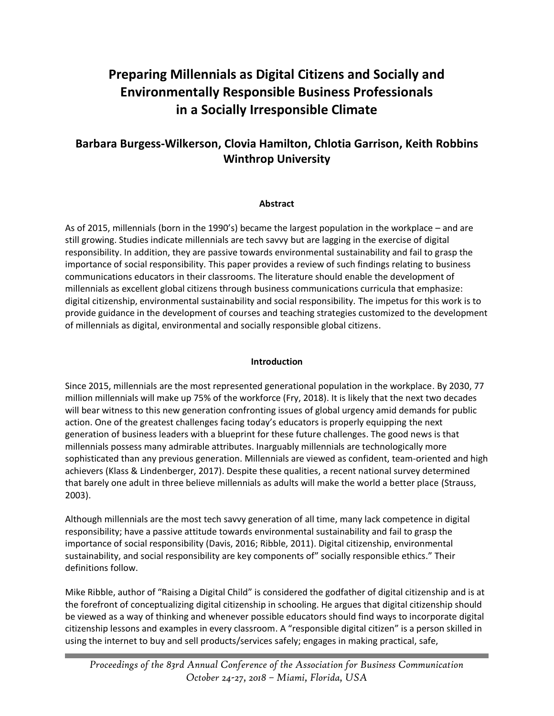## **Preparing Millennials as Digital Citizens and Socially and Environmentally Responsible Business Professionals in a Socially Irresponsible Climate**

### **Barbara Burgess-Wilkerson, Clovia Hamilton, Chlotia Garrison, Keith Robbins Winthrop University**

#### **Abstract**

As of 2015, millennials (born in the 1990's) became the largest population in the workplace – and are still growing. Studies indicate millennials are tech savvy but are lagging in the exercise of digital responsibility. In addition, they are passive towards environmental sustainability and fail to grasp the importance of social responsibility. This paper provides a review of such findings relating to business communications educators in their classrooms. The literature should enable the development of millennials as excellent global citizens through business communications curricula that emphasize: digital citizenship, environmental sustainability and social responsibility. The impetus for this work is to provide guidance in the development of courses and teaching strategies customized to the development of millennials as digital, environmental and socially responsible global citizens.

#### **Introduction**

Since 2015, millennials are the most represented generational population in the workplace. By 2030, 77 million millennials will make up 75% of the workforce [\(Fry, 2018\)](#page-17-0). It is likely that the next two decades will bear witness to this new generation confronting issues of global urgency amid demands for public action. One of the greatest challenges facing today's educators is properly equipping the next generation of business leaders with a blueprint for these future challenges. The good news is that millennials possess many admirable attributes. Inarguably millennials are technologically more sophisticated than any previous generation. Millennials are viewed as confident, team-oriented and high achievers (Klass & Lindenberger, 2017). Despite these qualities, a recent national survey determined that barely one adult in three believe millennials as adults will make the world a better place [\(Strauss,](#page-19-0)  [2003\)](#page-19-0).

Although millennials are the most tech savvy generation of all time, many lack competence in digital responsibility; have a passive attitude towards environmental sustainability and fail to grasp the importance of social responsibility [\(Davis, 2016;](#page-16-0) [Ribble, 2011\)](#page-19-1). Digital citizenship, environmental sustainability, and social responsibility are key components of" socially responsible ethics." Their definitions follow.

Mike Ribble, author of "Raising a Digital Child" is considered the godfather of digital citizenship and is at the forefront of conceptualizing digital citizenship in schooling. He argues that digital citizenship should be viewed as a way of thinking and whenever possible educators should find ways to incorporate digital citizenship lessons and examples in every classroom. A "responsible digital citizen" is a person skilled in using the internet to buy and sell products/services safely; engages in making practical, safe,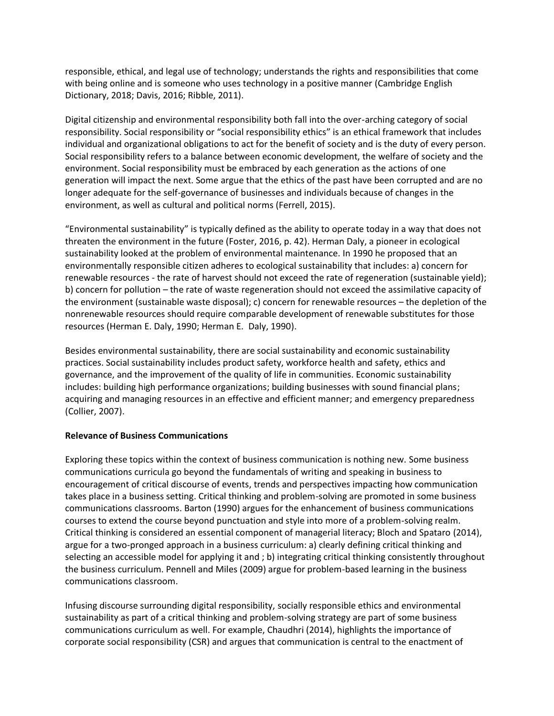responsible, ethical, and legal use of technology; understands the rights and responsibilities that come with being online and is someone who uses technology in a positive manner [\(Cambridge English](#page-16-1)  [Dictionary, 2018;](#page-16-1) [Davis,](#page-16-0) 2016[; Ribble, 2011\)](#page-19-1).

Digital citizenship and environmental responsibility both fall into the over-arching category of social responsibility. Social responsibility or "social responsibility ethics" is an ethical framework that includes individual and organizational obligations to act for the benefit of society and is the duty of every person. Social responsibility refers to a balance between economic development, the welfare of society and the environment. Social responsibility must be embraced by each generation as the actions of one generation will impact the next. Some argue that the ethics of the past have been corrupted and are no longer adequate for the self-governance of businesses and individuals because of changes in the environment, as well as cultural and political norms [\(Ferrell, 2015\)](#page-16-2).

"Environmental sustainability" is typically defined as the ability to operate today in a way that does not threaten the environment in the future [\(Foster, 2016, p. 42\)](#page-17-1). Herman Daly, a pioneer in ecological sustainability looked at the problem of environmental maintenance. In 1990 he proposed that an environmentally responsible citizen adheres to ecological sustainability that includes: a) concern for renewable resources - the rate of harvest should not exceed the rate of regeneration (sustainable yield); b) concern for pollution – the rate of waste regeneration should not exceed the assimilative capacity of the environment (sustainable waste disposal); c) concern for renewable resources – the depletion of the nonrenewable resources should require comparable development of renewable substitutes for those resources [\(Herman E. Daly, 1990;](#page-16-3) [Herman E. Daly, 1990\)](#page-16-4).

Besides environmental sustainability, there are social sustainability and economic sustainability practices. Social sustainability includes product safety, workforce health and safety, ethics and governance, and the improvement of the quality of life in communities. Economic sustainability includes: building high performance organizations; building businesses with sound financial plans; acquiring and managing resources in an effective and efficient manner; and emergency preparedness [\(Collier, 2007\)](#page-16-5).

#### **Relevance of Business Communications**

Exploring these topics within the context of business communication is nothing new. Some business communications curricula go beyond the fundamentals of writing and speaking in business to encouragement of critical discourse of events, trends and perspectives impacting how communication takes place in a business setting. Critical thinking and problem-solving are promoted in some business communications classrooms. Barton (1990) argues for the enhancement of business communications courses to extend the course beyond punctuation and style into more of a problem-solving realm. Critical thinking is considered an essential component of managerial literacy; Bloch and Spataro (2014), argue for a two-pronged approach in a business curriculum: a) clearly defining critical thinking and selecting an accessible model for applying it and ; b) integrating critical thinking consistently throughout the business curriculum. Pennell and Miles (2009) argue for problem-based learning in the business communications classroom.

Infusing discourse surrounding digital responsibility, socially responsible ethics and environmental sustainability as part of a critical thinking and problem-solving strategy are part of some business communications curriculum as well. For example, Chaudhri (2014), highlights the importance of corporate social responsibility (CSR) and argues that communication is central to the enactment of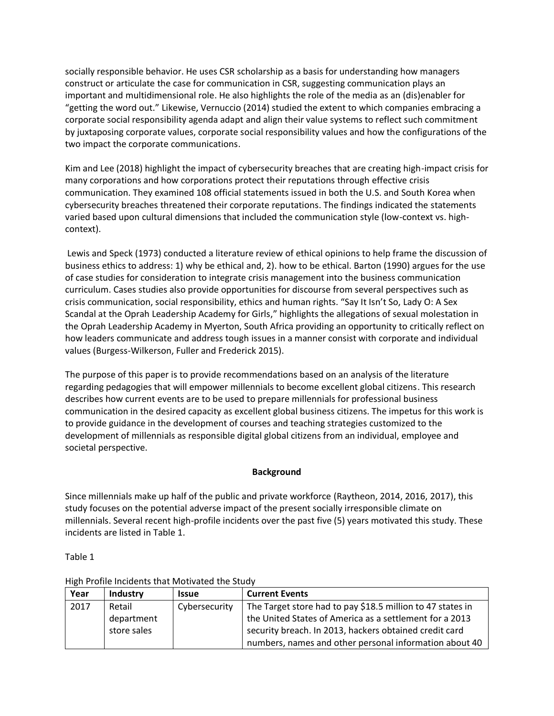socially responsible behavior. He uses CSR scholarship as a basis for understanding how managers construct or articulate the case for communication in CSR, suggesting communication plays an important and multidimensional role. He also highlights the role of the media as an (dis)enabler for "getting the word out." Likewise, Vernuccio (2014) studied the extent to which companies embracing a corporate social responsibility agenda adapt and align their value systems to reflect such commitment by juxtaposing corporate values, corporate social responsibility values and how the configurations of the two impact the corporate communications.

Kim and Lee (2018) highlight the impact of cybersecurity breaches that are creating high-impact crisis for many corporations and how corporations protect their reputations through effective crisis communication. They examined 108 official statements issued in both the U.S. and South Korea when cybersecurity breaches threatened their corporate reputations. The findings indicated the statements varied based upon cultural dimensions that included the communication style (low-context vs. highcontext).

Lewis and Speck (1973) conducted a literature review of ethical opinions to help frame the discussion of business ethics to address: 1) why be ethical and, 2). how to be ethical. Barton (1990) argues for the use of case studies for consideration to integrate crisis management into the business communication curriculum. Cases studies also provide opportunities for discourse from several perspectives such as crisis communication, social responsibility, ethics and human rights. "Say It Isn't So, Lady O: A Sex Scandal at the Oprah Leadership Academy for Girls," highlights the allegations of sexual molestation in the Oprah Leadership Academy in Myerton, South Africa providing an opportunity to critically reflect on how leaders communicate and address tough issues in a manner consist with corporate and individual values (Burgess-Wilkerson, Fuller and Frederick 2015).

The purpose of this paper is to provide recommendations based on an analysis of the literature regarding pedagogies that will empower millennials to become excellent global citizens. This research describes how current events are to be used to prepare millennials for professional business communication in the desired capacity as excellent global business citizens. The impetus for this work is to provide guidance in the development of courses and teaching strategies customized to the development of millennials as responsible digital global citizens from an individual, employee and societal perspective.

#### **Background**

Since millennials make up half of the public and private workforce [\(Raytheon, 2014,](#page-18-0) [2016,](#page-18-1) [2017\)](#page-19-2), this study focuses on the potential adverse impact of the present socially irresponsible climate on millennials. Several recent high-profile incidents over the past five (5) years motivated this study. These incidents are listed in Table 1.

Table 1

| Year | <b>Industry</b> | <b>Issue</b>  | <b>Current Events</b>                                      |  |
|------|-----------------|---------------|------------------------------------------------------------|--|
| 2017 | Retail          | Cybersecurity | The Target store had to pay \$18.5 million to 47 states in |  |
|      | department      |               | the United States of America as a settlement for a 2013    |  |
|      | store sales     |               | security breach. In 2013, hackers obtained credit card     |  |
|      |                 |               | numbers, names and other personal information about 40     |  |

High Profile Incidents that Motivated the Study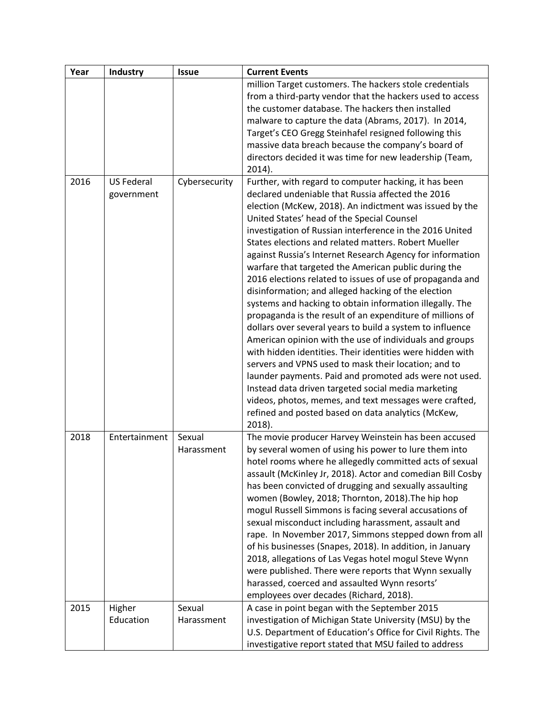| Year | Industry                        | <b>Issue</b>         | <b>Current Events</b>                                                                                                                                                                                                                                                                                                                                                                                                                                                                                                                                                                                                                                                                                                                                                                                                                                                                                                                                                                                                                                                                                                                                                                             |
|------|---------------------------------|----------------------|---------------------------------------------------------------------------------------------------------------------------------------------------------------------------------------------------------------------------------------------------------------------------------------------------------------------------------------------------------------------------------------------------------------------------------------------------------------------------------------------------------------------------------------------------------------------------------------------------------------------------------------------------------------------------------------------------------------------------------------------------------------------------------------------------------------------------------------------------------------------------------------------------------------------------------------------------------------------------------------------------------------------------------------------------------------------------------------------------------------------------------------------------------------------------------------------------|
|      |                                 |                      | million Target customers. The hackers stole credentials<br>from a third-party vendor that the hackers used to access<br>the customer database. The hackers then installed<br>malware to capture the data (Abrams, 2017). In 2014,<br>Target's CEO Gregg Steinhafel resigned following this<br>massive data breach because the company's board of<br>directors decided it was time for new leadership (Team,<br>$2014$ ).                                                                                                                                                                                                                                                                                                                                                                                                                                                                                                                                                                                                                                                                                                                                                                          |
| 2016 | <b>US Federal</b><br>government | Cybersecurity        | Further, with regard to computer hacking, it has been<br>declared undeniable that Russia affected the 2016<br>election (McKew, 2018). An indictment was issued by the<br>United States' head of the Special Counsel<br>investigation of Russian interference in the 2016 United<br>States elections and related matters. Robert Mueller<br>against Russia's Internet Research Agency for information<br>warfare that targeted the American public during the<br>2016 elections related to issues of use of propaganda and<br>disinformation; and alleged hacking of the election<br>systems and hacking to obtain information illegally. The<br>propaganda is the result of an expenditure of millions of<br>dollars over several years to build a system to influence<br>American opinion with the use of individuals and groups<br>with hidden identities. Their identities were hidden with<br>servers and VPNS used to mask their location; and to<br>launder payments. Paid and promoted ads were not used.<br>Instead data driven targeted social media marketing<br>videos, photos, memes, and text messages were crafted,<br>refined and posted based on data analytics (McKew,<br>2018). |
| 2018 | Entertainment                   | Sexual<br>Harassment | The movie producer Harvey Weinstein has been accused<br>by several women of using his power to lure them into<br>hotel rooms where he allegedly committed acts of sexual<br>assault (McKinley Jr, 2018). Actor and comedian Bill Cosby<br>has been convicted of drugging and sexually assaulting<br>women (Bowley, 2018; Thornton, 2018). The hip hop<br>mogul Russell Simmons is facing several accusations of<br>sexual misconduct including harassment, assault and<br>rape. In November 2017, Simmons stepped down from all<br>of his businesses (Snapes, 2018). In addition, in January<br>2018, allegations of Las Vegas hotel mogul Steve Wynn<br>were published. There were reports that Wynn sexually<br>harassed, coerced and assaulted Wynn resorts'<br>employees over decades (Richard, 2018).                                                                                                                                                                                                                                                                                                                                                                                        |
| 2015 | Higher<br>Education             | Sexual<br>Harassment | A case in point began with the September 2015<br>investigation of Michigan State University (MSU) by the<br>U.S. Department of Education's Office for Civil Rights. The<br>investigative report stated that MSU failed to address                                                                                                                                                                                                                                                                                                                                                                                                                                                                                                                                                                                                                                                                                                                                                                                                                                                                                                                                                                 |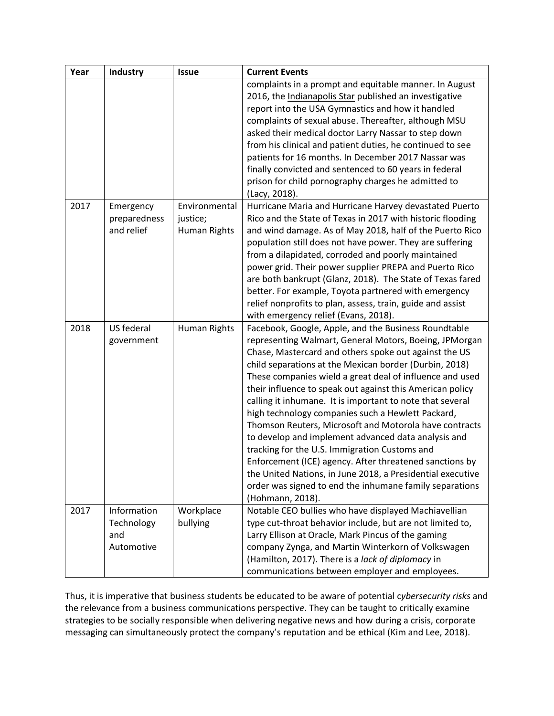| Year | <b>Industry</b>                         | <b>Issue</b>                              | <b>Current Events</b>                                                                                                                                                                                                                                                                              |
|------|-----------------------------------------|-------------------------------------------|----------------------------------------------------------------------------------------------------------------------------------------------------------------------------------------------------------------------------------------------------------------------------------------------------|
|      |                                         |                                           | complaints in a prompt and equitable manner. In August<br>2016, the Indianapolis Star published an investigative                                                                                                                                                                                   |
|      |                                         |                                           | report into the USA Gymnastics and how it handled                                                                                                                                                                                                                                                  |
|      |                                         |                                           | complaints of sexual abuse. Thereafter, although MSU                                                                                                                                                                                                                                               |
|      |                                         |                                           | asked their medical doctor Larry Nassar to step down                                                                                                                                                                                                                                               |
|      |                                         |                                           | from his clinical and patient duties, he continued to see                                                                                                                                                                                                                                          |
|      |                                         |                                           | patients for 16 months. In December 2017 Nassar was                                                                                                                                                                                                                                                |
|      |                                         |                                           | finally convicted and sentenced to 60 years in federal                                                                                                                                                                                                                                             |
|      |                                         |                                           | prison for child pornography charges he admitted to                                                                                                                                                                                                                                                |
|      |                                         |                                           | (Lacy, 2018).                                                                                                                                                                                                                                                                                      |
| 2017 | Emergency<br>preparedness<br>and relief | Environmental<br>justice;<br>Human Rights | Hurricane Maria and Hurricane Harvey devastated Puerto<br>Rico and the State of Texas in 2017 with historic flooding<br>and wind damage. As of May 2018, half of the Puerto Rico<br>population still does not have power. They are suffering<br>from a dilapidated, corroded and poorly maintained |
|      |                                         |                                           | power grid. Their power supplier PREPA and Puerto Rico<br>are both bankrupt (Glanz, 2018). The State of Texas fared<br>better. For example, Toyota partnered with emergency<br>relief nonprofits to plan, assess, train, guide and assist<br>with emergency relief (Evans, 2018).                  |
| 2018 | US federal                              | Human Rights                              | Facebook, Google, Apple, and the Business Roundtable                                                                                                                                                                                                                                               |
|      | government                              |                                           | representing Walmart, General Motors, Boeing, JPMorgan                                                                                                                                                                                                                                             |
|      |                                         |                                           | Chase, Mastercard and others spoke out against the US                                                                                                                                                                                                                                              |
|      |                                         |                                           | child separations at the Mexican border (Durbin, 2018)                                                                                                                                                                                                                                             |
|      |                                         |                                           | These companies wield a great deal of influence and used                                                                                                                                                                                                                                           |
|      |                                         |                                           | their influence to speak out against this American policy                                                                                                                                                                                                                                          |
|      |                                         |                                           | calling it inhumane. It is important to note that several                                                                                                                                                                                                                                          |
|      |                                         |                                           | high technology companies such a Hewlett Packard,                                                                                                                                                                                                                                                  |
|      |                                         |                                           | Thomson Reuters, Microsoft and Motorola have contracts                                                                                                                                                                                                                                             |
|      |                                         |                                           | to develop and implement advanced data analysis and                                                                                                                                                                                                                                                |
|      |                                         |                                           | tracking for the U.S. Immigration Customs and                                                                                                                                                                                                                                                      |
|      |                                         |                                           | Enforcement (ICE) agency. After threatened sanctions by                                                                                                                                                                                                                                            |
|      |                                         |                                           | the United Nations, in June 2018, a Presidential executive                                                                                                                                                                                                                                         |
|      |                                         |                                           | order was signed to end the inhumane family separations<br>(Hohmann, 2018).                                                                                                                                                                                                                        |
| 2017 | Information                             | Workplace                                 | Notable CEO bullies who have displayed Machiavellian                                                                                                                                                                                                                                               |
|      | Technology                              | bullying                                  | type cut-throat behavior include, but are not limited to,                                                                                                                                                                                                                                          |
|      | and                                     |                                           | Larry Ellison at Oracle, Mark Pincus of the gaming                                                                                                                                                                                                                                                 |
|      | Automotive                              |                                           | company Zynga, and Martin Winterkorn of Volkswagen                                                                                                                                                                                                                                                 |
|      |                                         |                                           | (Hamilton, 2017). There is a lack of diplomacy in                                                                                                                                                                                                                                                  |
|      |                                         |                                           | communications between employer and employees.                                                                                                                                                                                                                                                     |

Thus, it is imperative that business students be educated to be aware of potential c*ybersecurity risks* and the relevance from a business communications perspectiv*e*. They can be taught to critically examine strategies to be socially responsible when delivering negative news and how during a crisis, corporate messaging can simultaneously protect the company's reputation and be ethical (Kim and Lee, 2018).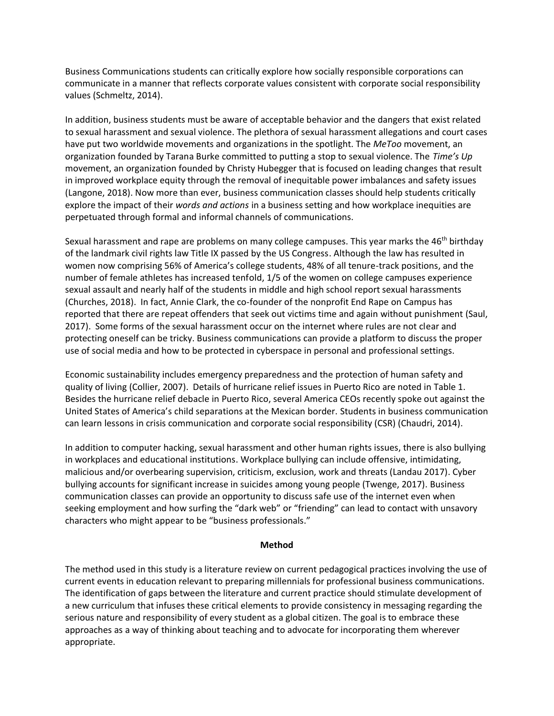Business Communications students can critically explore how socially responsible corporations can communicate in a manner that reflects corporate values consistent with corporate social responsibility values (Schmeltz, 2014).

In addition, business students must be aware of acceptable behavior and the dangers that exist related to sexual harassment and sexual violence. The plethora of sexual harassment allegations and court cases have put two worldwide movements and organizations in the spotlight. The *MeToo* movement, an organization founded by Tarana Burke committed to putting a stop to sexual violence. The *Time's Up* movement, an organization founded by Christy Hubegger that is focused on leading changes that result in improved workplace equity through the removal of inequitable power imbalances and safety issues (Langone, 2018). Now more than ever, business communication classes should help students critically explore the impact of their *words and actions* in a business setting and how workplace inequities are perpetuated through formal and informal channels of communications.

Sexual harassment and rape are problems on many college campuses. This year marks the 46<sup>th</sup> birthday of the landmark civil rights law Title IX passed by the US Congress. Although the law has resulted in women now comprising 56% of America's college students, 48% of all tenure-track positions, and the number of female athletes has increased tenfold, 1/5 of the women on college campuses experience sexual assault and nearly half of the students in middle and high school report sexual harassments [\(Churches, 2018\)](#page-16-9). In fact, Annie Clark, the co-founder of the nonprofit End Rape on Campus has reported that there are repeat offenders that seek out victims time and again without punishment [\(Saul,](#page-19-7)  [2017\)](#page-19-7). Some forms of the sexual harassment occur on the internet where rules are not clear and protecting oneself can be tricky. Business communications can provide a platform to discuss the proper use of social media and how to be protected in cyberspace in personal and professional settings.

Economic sustainability includes emergency preparedness and the protection of human safety and quality of living [\(Collier, 2007\)](#page-16-5). Details of hurricane relief issues in Puerto Rico are noted in Table 1. Besides the hurricane relief debacle in Puerto Rico, several America CEOs recently spoke out against the United States of America's child separations at the Mexican border. Students in business communication can learn lessons in crisis communication and corporate social responsibility (CSR) (Chaudri, 2014).

In addition to computer hacking, sexual harassment and other human rights issues, there is also bullying in workplaces and educational institutions. Workplace bullying can include offensive, intimidating, malicious and/or overbearing supervision, criticism, exclusion, work and threats (Landau 2017). Cyber bullying accounts for significant increase in suicides among young people (Twenge, 2017). Business communication classes can provide an opportunity to discuss safe use of the internet even when seeking employment and how surfing the "dark web" or "friending" can lead to contact with unsavory characters who might appear to be "business professionals."

#### **Method**

The method used in this study is a literature review on current pedagogical practices involving the use of current events in education relevant to preparing millennials for professional business communications. The identification of gaps between the literature and current practice should stimulate development of a new curriculum that infuses these critical elements to provide consistency in messaging regarding the serious nature and responsibility of every student as a global citizen. The goal is to embrace these approaches as a way of thinking about teaching and to advocate for incorporating them wherever appropriate.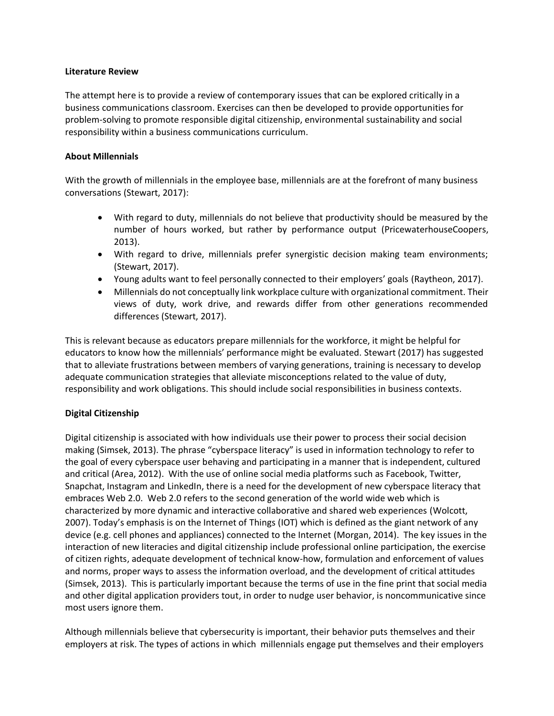#### **Literature Review**

The attempt here is to provide a review of contemporary issues that can be explored critically in a business communications classroom. Exercises can then be developed to provide opportunities for problem-solving to promote responsible digital citizenship, environmental sustainability and social responsibility within a business communications curriculum.

#### **About Millennials**

With the growth of millennials in the employee base, millennials are at the forefront of many business conversations [\(Stewart, 2017\)](#page-19-8):

- With regard to duty, millennials do not believe that productivity should be measured by the number of hours worked, but rather by performance output [\(PricewaterhouseCoopers,](file:///C:/Users/Barbara/Downloads/BBW%20Draft%20Robbins_Garrison%20(1).docx%23_ENREF_65)  [2013\)](file:///C:/Users/Barbara/Downloads/BBW%20Draft%20Robbins_Garrison%20(1).docx%23_ENREF_65).
- With regard to drive, millennials prefer synergistic decision making team environments; [\(Stewart, 2017\)](file:///C:/Users/Barbara/Downloads/BBW%20Draft%20Robbins_Garrison%20(1).docx%23_ENREF_82).
- Young adults want to feel personally connected to their employers' goals [\(Raytheon, 2017\)](file:///C:/Users/Barbara/Downloads/BBW%20Draft%20Robbins_Garrison%20(1).docx%23_ENREF_68).
- Millennials do not conceptually link workplace culture with organizational commitment. Their views of duty, work drive, and rewards differ from other generations recommended differences [\(Stewart, 2017\)](file:///C:/Users/Barbara/Downloads/BBW%20Draft%20Robbins_Garrison%20(1).docx%23_ENREF_82).

This is relevant because as educators prepare millennials for the workforce, it might be helpful for educators to know how the millennials' performance might be evaluated. Stewart (2017) has suggested that to alleviate frustrations between members of varying generations, training is necessary to develop adequate communication strategies that alleviate misconceptions related to the value of duty, responsibility and work obligations. This should include social responsibilities in business contexts.

#### **Digital Citizenship**

Digital citizenship is associated with how individuals use their power to process their social decision making [\(Simsek, 2013\)](#page-19-9). The phrase "cyberspace literacy" is used in information technology to refer to the goal of every cyberspace user behaving and participating in a manner that is independent, cultured and critical [\(Area, 2012\)](#page-15-1). With the use of online social media platforms such as Facebook, Twitter, Snapchat, Instagram and LinkedIn, there is a need for the development of new cyberspace literacy that embraces Web 2.0. Web 2.0 refers to the second generation of the world wide web which is characterized by more dynamic and interactive collaborative and shared web experiences [\(Wolcott,](#page-20-0)  [2007\)](#page-20-0). Today's emphasis is on the Internet of Things (IOT) which is defined as the giant network of any device (e.g. cell phones and appliances) connected to the Internet [\(Morgan, 2014\)](#page-18-5). The key issues in the interaction of new literacies and digital citizenship include professional online participation, the exercise of citizen rights, adequate development of technical know-how, formulation and enforcement of values and norms, proper ways to assess the information overload, and the development of critical attitudes [\(Simsek, 2013\)](#page-19-9). This is particularly important because the terms of use in the fine print that social media and other digital application providers tout, in order to nudge user behavior, is noncommunicative since most users ignore them.

Although millennials believe that cybersecurity is important, their behavior puts themselves and their employers at risk. The types of actions in which millennials engage put themselves and their employers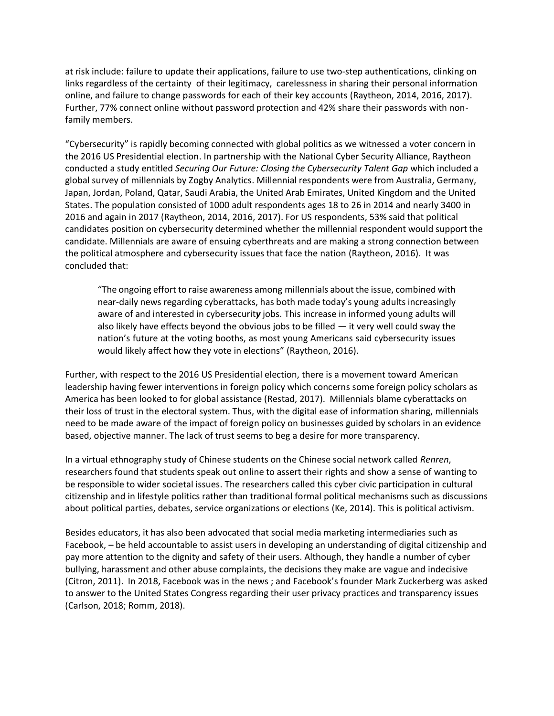at risk include: failure to update their applications, failure to use two-step authentications, clinking on links regardless of the certainty of their legitimacy, carelessness in sharing their personal information online, and failure to change passwords for each of their key accounts [\(Raytheon, 2014,](#page-18-0) [2016,](#page-18-1) [2017\)](#page-19-2). Further, 77% connect online without password protection and 42% share their passwords with nonfamily members.

"Cybersecurity" is rapidly becoming connected with global politics as we witnessed a voter concern in the 2016 US Presidential election. In partnership with the National Cyber Security Alliance, Raytheon conducted a study entitled *Securing Our Future: Closing the Cybersecurity Talent Gap* which included a global survey of millennials by Zogby Analytics. Millennial respondents were from Australia, Germany, Japan, Jordan, Poland, Qatar, Saudi Arabia, the United Arab Emirates, United Kingdom and the United States. The population consisted of 1000 adult respondents ages 18 to 26 in 2014 and nearly 3400 in 2016 and again in 2017 [\(Raytheon, 2014,](#page-18-0) [2016,](#page-18-1) [2017\)](#page-19-2). For US respondents, 53% said that political candidates position on cybersecurity determined whether the millennial respondent would support the candidate. Millennials are aware of ensuing cyberthreats and are making a strong connection between the political atmosphere and cybersecurity issues that face the nation [\(Raytheon, 2016\)](#page-18-1). It was concluded that:

"The ongoing effort to raise awareness among millennials about the issue, combined with near-daily news regarding cyberattacks, has both made today's young adults increasingly aware of and interested in cybersecurit*y* jobs. This increase in informed young adults will also likely have effects beyond the obvious jobs to be filled — it very well could sway the nation's future at the voting booths, as most young Americans said cybersecurity issues would likely affect how they vote in elections" [\(Raytheon, 2016\)](#page-18-1).

Further, with respect to the 2016 US Presidential election, there is a movement toward American leadership having fewer interventions in foreign policy which concerns some foreign policy scholars as America has been looked to for global assistance [\(Restad, 2017\)](#page-19-10). Millennials blame cyberattacks on their loss of trust in the electoral system. Thus, with the digital ease of information sharing, millennials need to be made aware of the impact of foreign policy on businesses guided by scholars in an evidence based, objective manner. The lack of trust seems to beg a desire for more transparency.

In a virtual ethnography study of Chinese students on the Chinese social network called *Renren*, researchers found that students speak out online to assert their rights and show a sense of wanting to be responsible to wider societal issues. The researchers called this cyber civic participation in cultural citizenship and in lifestyle politics rather than traditional formal political mechanisms such as discussions about political parties, debates, service organizations or elections [\(Ke, 2014\)](#page-17-5). This is political activism.

Besides educators, it has also been advocated that social media marketing intermediaries such as Facebook, – be held accountable to assist users in developing an understanding of digital citizenship and pay more attention to the dignity and safety of their users. Although, they handle a number of cyber bullying, harassment and other abuse complaints, the decisions they make are vague and indecisive [\(Citron, 2011\)](#page-16-10). In 2018, Facebook was in the news ; and Facebook's founder Mark Zuckerberg was asked to answer to the United States Congress regarding their user privacy practices and transparency issues [\(Carlson, 2018;](#page-16-11) [Romm, 2018\)](#page-19-11).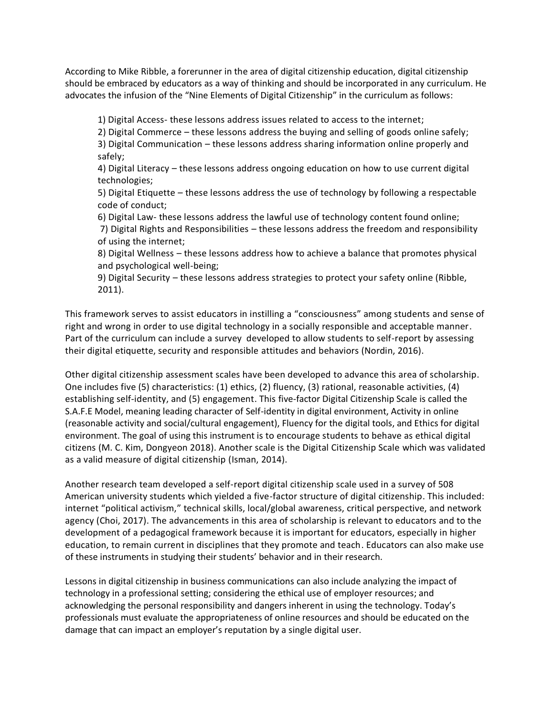According to Mike Ribble, a forerunner in the area of digital citizenship education, digital citizenship should be embraced by educators as a way of thinking and should be incorporated in any curriculum. He advocates the infusion of the "Nine Elements of Digital Citizenship" in the curriculum as follows:

1) Digital Access- these lessons address issues related to access to the internet;

2) Digital Commerce – these lessons address the buying and selling of goods online safely;

3) Digital Communication – these lessons address sharing information online properly and safely;

4) Digital Literacy – these lessons address ongoing education on how to use current digital technologies;

5) Digital Etiquette – these lessons address the use of technology by following a respectable code of conduct;

6) Digital Law- these lessons address the lawful use of technology content found online; 7) Digital Rights and Responsibilities – these lessons address the freedom and responsibility of using the internet;

8) Digital Wellness – these lessons address how to achieve a balance that promotes physical and psychological well-being;

9) Digital Security – these lessons address strategies to protect your safety online [\(Ribble,](#page-19-1)  [2011\)](#page-19-1).

This framework serves to assist educators in instilling a "consciousness" among students and sense of right and wrong in order to use digital technology in a socially responsible and acceptable manner. Part of the curriculum can include a survey developed to allow students to self-report by assessing their digital etiquette, security and responsible attitudes and behaviors [\(Nordin, 2016\)](#page-18-6).

Other digital citizenship assessment scales have been developed to advance this area of scholarship. One includes five (5) characteristics: (1) ethics, (2) fluency, (3) rational, reasonable activities, (4) establishing self-identity, and (5) engagement. This five-factor Digital Citizenship Scale is called the S.A.F.E Model, meaning leading character of Self-identity in digital environment, Activity in online (reasonable activity and social/cultural engagement), Fluency for the digital tools, and Ethics for digital environment. The goal of using this instrument is to encourage students to behave as ethical digital citizens [\(M. C. Kim, Dongyeon 2018\)](#page-17-6). Another scale is the Digital Citizenship Scale which was validated as a valid measure of digital citizenship [\(Isman, 2014\)](#page-17-7).

Another research team developed a self-report digital citizenship scale used in a survey of 508 American university students which yielded a five-factor structure of digital citizenship. This included: internet "political activism," technical skills, local/global awareness, critical perspective, and network agency [\(Choi, 2017\)](#page-16-12). The advancements in this area of scholarship is relevant to educators and to the development of a pedagogical framework because it is important for educators, especially in higher education, to remain current in disciplines that they promote and teach. Educators can also make use of these instruments in studying their students' behavior and in their research.

Lessons in digital citizenship in business communications can also include analyzing the impact of technology in a professional setting; considering the ethical use of employer resources; and acknowledging the personal responsibility and dangers inherent in using the technology. Today's professionals must evaluate the appropriateness of online resources and should be educated on the damage that can impact an employer's reputation by a single digital user.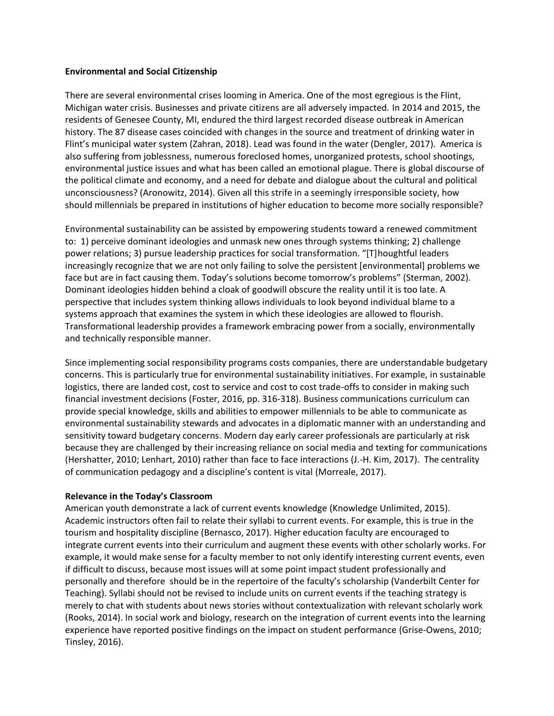#### **Environmental and Social Citizenship**

There are several environmental crises looming in America. One of the most egregious is the Flint, Michigan water crisis. Businesses and private citizens are all adversely impacted. In 2014 and 2015, the residents of Genesee County, MI, endured the third largest recorded disease outbreak in American history. The 87 disease cases coincided with changes in the source and treatment of drinking water in Flint's municipal water system [\(Zahran, 2018\)](#page-20-1). Lead was found in the water [\(Dengler, 2017\)](#page-16-13). America is also suffering from joblessness, numerous foreclosed homes, unorganized protests, school shootings, environmental justice issues and what has been called an emotional plague. There is global discourse of the political climate and economy, and a need for debate and dialogue about the cultural and political unconsciousness? [\(Aronowitz, 2014\)](#page-15-2). Given all this strife in a seemingly irresponsible society, how should millennials be prepared in institutions of higher education to become more socially responsible?

Environmental sustainability can be assisted by empowering students toward a renewed commitment to: 1) perceive dominant ideologies and unmask new ones through systems thinking; 2) challenge power relations; 3) pursue leadership practices for social transformation. "[T]houghtful leaders increasingly recognize that we are not only failing to solve the persistent [environmental] problems we face but are in fact causing them. Today's solutions become tomorrow's problems" [\(Sterman, 2002\)](#page-19-12). Dominant ideologies hidden behind a cloak of goodwill obscure the reality until it is too late. A perspective that includes system thinking allows individuals to look beyond individual blame to a systems approach that examines the system in which these ideologies are allowed to flourish. Transformational leadership provides a framework embracing power from a socially, environmentally and technically responsible manner.

Since implementing social responsibility programs costs companies, there are understandable budgetary concerns. This is particularly true for environmental sustainability initiatives. For example, in sustainable logistics, there are landed cost, cost to service and cost to cost trade-offs to consider in making such financial investment decisions [\(Foster, 2016, pp. 316-318\)](#page-17-1). Business communications curriculum can provide special knowledge, skills and abilities to empower millennials to be able to communicate as environmental sustainability stewards and advocates in a diplomatic manner with an understanding and sensitivity toward budgetary concerns. Modern day early career professionals are particularly at risk because they are challenged by their increasing reliance on social media and texting for communications [\(Hershatter, 2010;](#page-17-8) [Lenhart, 2010\)](#page-18-7) rather than face to face interactions [\(J.-H. Kim, 2017\)](#page-17-9). The centrality of communication pedagogy and a discipline's content is vital [\(Morreale, 2017\)](#page-18-8).

#### **Relevance in the Today's Classroom**

American youth demonstrate a lack of current events knowledge [\(Knowledge Unlimited, 2015\)](#page-17-10). Academic instructors often fail to relate their syllabi to current events. For example, this is true in the tourism and hospitality discipline [\(Bernasco, 2017\)](#page-16-14). Higher education faculty are encouraged to integrate current events into their curriculum and augment these events with other scholarly works. For example, it would make sense for a faculty member to not only identify interesting current events, even if difficult to discuss, because most issues will at some point impact student professionally and personally and therefore should be in the repertoire of the faculty's scholarship [\(Vanderbilt Center for](#page-19-13)  [Teaching\)](#page-19-13). Syllabi should not be revised to include units on current events if the teaching strategy is merely to chat with students about news stories without contextualization with relevant scholarly work [\(Rooks, 2014\)](#page-19-14). In social work and biology, research on the integration of current events into the learning experience have reported positive findings on the impact on student performance [\(Grise-Owens, 2010;](#page-17-11) [Tinsley, 2016\)](#page-19-15).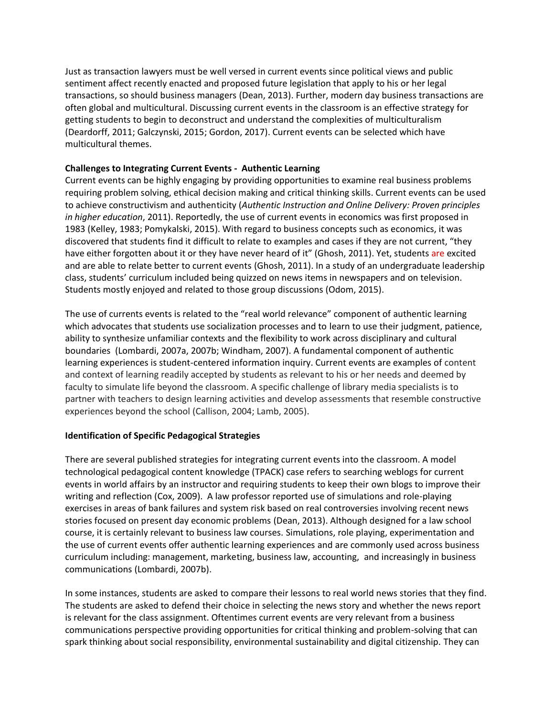Just as transaction lawyers must be well versed in current events since political views and public sentiment affect recently enacted and proposed future legislation that apply to his or her legal transactions, so should business managers [\(Dean, 2013\)](#page-16-15). Further, modern day business transactions are often global and multicultural. Discussing current events in the classroom is an effective strategy for getting students to begin to deconstruct and understand the complexities of multiculturalism [\(Deardorff, 2011;](#page-16-16) [Galczynski, 2015;](#page-17-12) [Gordon, 2017\)](#page-17-13). Current events can be selected which have multicultural themes.

#### **Challenges to Integrating Current Events - Authentic Learning**

Current events can be highly engaging by providing opportunities to examine real business problems requiring problem solving, ethical decision making and critical thinking skills. Current events can be used to achieve constructivism and authenticity (*[Authentic Instruction and Online Delivery: Proven principles](#page-15-3)  [in higher education](#page-15-3)*, 2011). Reportedly, the use of current events in economics was first proposed in 1983 [\(Kelley, 1983;](#page-17-14) [Pomykalski, 2015\)](#page-18-9). With regard to business concepts such as economics, it was discovered that students find it difficult to relate to examples and cases if they are not current, "they have either forgotten about it or they have never heard of it" [\(Ghosh, 2011\)](#page-17-15). Yet, students are excited and are able to relate better to current events [\(Ghosh, 2011\)](#page-17-15). In a study of an undergraduate leadership class, students' curriculum included being quizzed on news items in newspapers and on television. Students mostly enjoyed and related to those group discussions [\(Odom, 2015\)](#page-18-10).

The use of currents events is related to the "real world relevance" component of authentic learning which advocates that students use socialization processes and to learn to use their judgment, patience, ability to synthesize unfamiliar contexts and the flexibility to work across disciplinary and cultural boundaries [\(Lombardi, 2007a,](#page-18-11) [2007b;](#page-18-12) [Windham, 2007\)](#page-20-2). A fundamental component of authentic learning experiences is student-centered information inquiry. Current events are examples of content and context of learning readily accepted by students as relevant to his or her needs and deemed by faculty to simulate life beyond the classroom. A specific challenge of library media specialists is to partner with teachers to design learning activities and develop assessments that resemble constructive experiences beyond the school [\(Callison, 2004;](#page-16-17) [Lamb, 2005\)](#page-18-13).

#### **Identification of Specific Pedagogical Strategies**

There are several published strategies for integrating current events into the classroom. A model technological pedagogical content knowledge (TPACK) case refers to searching weblogs for current events in world affairs by an instructor and requiring students to keep their own blogs to improve their writing and reflection [\(Cox, 2009\)](#page-16-18). A law professor reported use of simulations and role-playing exercises in areas of bank failures and system risk based on real controversies involving recent news stories focused on present day economic problems [\(Dean, 2013\)](#page-16-15). Although designed for a law school course, it is certainly relevant to business law courses. Simulations, role playing, experimentation and the use of current events offer authentic learning experiences and are commonly used across business curriculum including: management, marketing, business law, accounting, and increasingly in business communications [\(Lombardi, 2007b\)](#page-18-12).

In some instances, students are asked to compare their lessons to real world news stories that they find. The students are asked to defend their choice in selecting the news story and whether the news report is relevant for the class assignment. Oftentimes current events are very relevant from a business communications perspective providing opportunities for critical thinking and problem-solving that can spark thinking about social responsibility, environmental sustainability and digital citizenship. They can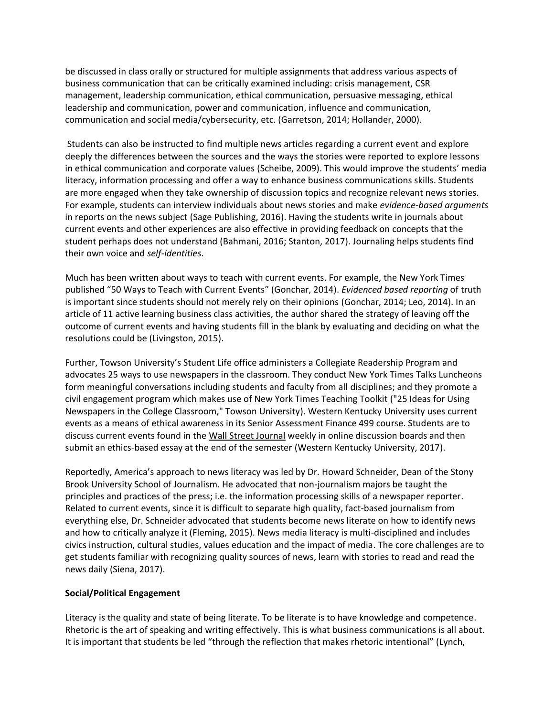be discussed in class orally or structured for multiple assignments that address various aspects of business communication that can be critically examined including: crisis management, CSR management, leadership communication, ethical communication, persuasive messaging, ethical leadership and communication, power and communication, influence and communication, communication and social media/cybersecurity, etc. [\(Garretson, 2014;](#page-17-16) [Hollander, 2000\)](#page-17-17).

Students can also be instructed to find multiple news articles regarding a current event and explore deeply the differences between the sources and the ways the stories were reported to explore lessons in ethical communication and corporate values [\(Scheibe, 2009\)](#page-19-16). This would improve the students' media literacy, information processing and offer a way to enhance business communications skills. Students are more engaged when they take ownership of discussion topics and recognize relevant news stories. For example, students can interview individuals about news stories and make *evidence-based arguments* in reports on the news subject [\(Sage Publishing, 2016\)](#page-19-17). Having the students write in journals about current events and other experiences are also effective in providing feedback on concepts that the student perhaps does not understand [\(Bahmani, 2016;](#page-16-19) [Stanton, 2017\)](#page-19-18). Journaling helps students find their own voice and *self-identities*.

Much has been written about ways to teach with current events. For example, the New York Times published "50 Ways to Teach with Current Events" [\(Gonchar, 2014\)](#page-17-18). *Evidenced based reporting* of truth is important since students should not merely rely on their opinions [\(Gonchar, 2014;](#page-17-18) [Leo, 2014\)](#page-18-14). In an article of 11 active learning business class activities, the author shared the strategy of leaving off the outcome of current events and having students fill in the blank by evaluating and deciding on what the resolutions could be [\(Livingston, 2015\)](#page-18-15).

Further, Towson University's Student Life office administers a Collegiate Readership Program and advocates 25 ways to use newspapers in the classroom. They conduct New York Times Talks Luncheons form meaningful conversations including students and faculty from all disciplines; and they promote a civil engagement program which makes use of New York Times Teaching Toolkit [\("25 Ideas for Using](#page-15-4)  [Newspapers in the College Classroom," Towson University\)](#page-15-4). Western Kentucky University uses current events as a means of ethical awareness in its Senior Assessment Finance 499 course. Students are to discuss current events found in the Wall Street Journal weekly in online discussion boards and then submit an ethics-based essay at the end of the semester [\(Western Kentucky University, 2017\)](#page-19-19).

Reportedly, America's approach to news literacy was led by Dr. Howard Schneider, Dean of the Stony Brook University School of Journalism. He advocated that non-journalism majors be taught the principles and practices of the press; i.e. the information processing skills of a newspaper reporter. Related to current events, since it is difficult to separate high quality, fact-based journalism from everything else, Dr. Schneider advocated that students become news literate on how to identify news and how to critically analyze it [\(Fleming, 2015\)](#page-17-19). News media literacy is multi-disciplined and includes civics instruction, cultural studies, values education and the impact of media. The core challenges are to get students familiar with recognizing quality sources of news, learn with stories to read and read the news daily [\(Siena, 2017\)](#page-19-20).

#### **Social/Political Engagement**

Literacy is the quality and state of being literate. To be literate is to have knowledge and competence. Rhetoric is the art of speaking and writing effectively. This is what business communications is all about. It is important that students be led "through the reflection that makes rhetoric intentional" [\(Lynch,](#page-18-16)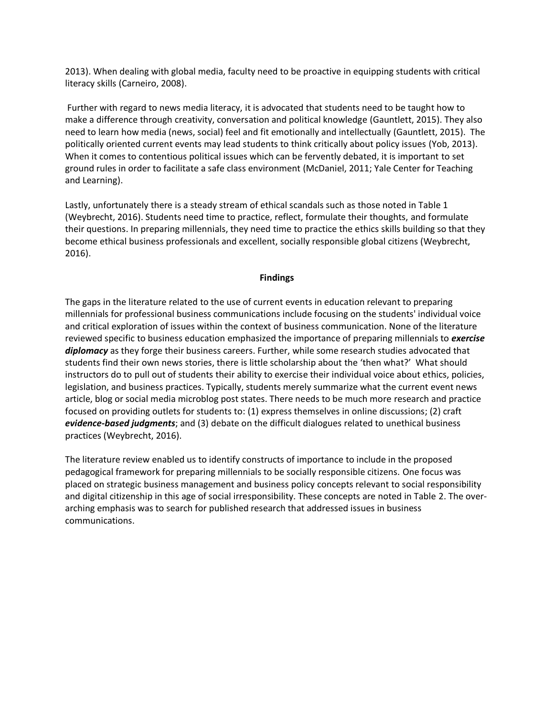[2013\)](#page-18-16). When dealing with global media, faculty need to be proactive in equipping students with critical literacy skills [\(Carneiro, 2008\)](#page-16-20).

Further with regard to news media literacy, it is advocated that students need to be taught how to make a difference through creativity, conversation and political knowledge [\(Gauntlett, 2015\)](#page-17-20). They also need to learn how media (news, social) feel and fit emotionally and intellectually [\(Gauntlett, 2015\)](#page-17-20). The politically oriented current events may lead students to think critically about policy issues [\(Yob, 2013\)](#page-20-3). When it comes to contentious political issues which can be fervently debated, it is important to set ground rules in order to facilitate a safe class environment [\(McDaniel, 2011;](#page-18-17) [Yale Center for Teaching](#page-20-4)  [and Learning\)](#page-20-4).

Lastly, unfortunately there is a steady stream of ethical scandals such as those noted in Table 1 [\(Weybrecht, 2016\)](#page-20-5). Students need time to practice, reflect, formulate their thoughts, and formulate their questions. In preparing millennials, they need time to practice the ethics skills building so that they become ethical business professionals and excellent, socially responsible global citizens [\(Weybrecht,](#page-20-5)  [2016\)](#page-20-5).

#### **Findings**

The gaps in the literature related to the use of current events in education relevant to preparing millennials for professional business communications include focusing on the students' individual voice and critical exploration of issues within the context of business communication. None of the literature reviewed specific to business education emphasized the importance of preparing millennials to *exercise diplomacy* as they forge their business careers. Further, while some research studies advocated that students find their own news stories, there is little scholarship about the 'then what?' What should instructors do to pull out of students their ability to exercise their individual voice about ethics, policies, legislation, and business practices. Typically, students merely summarize what the current event news article, blog or social media microblog post states. There needs to be much more research and practice focused on providing outlets for students to: (1) express themselves in online discussions; (2) craft *evidence-based judgments*; and (3) debate on the difficult dialogues related to unethical business practices [\(Weybrecht, 2016\)](#page-20-5).

The literature review enabled us to identify constructs of importance to include in the proposed pedagogical framework for preparing millennials to be socially responsible citizens. One focus was placed on strategic business management and business policy concepts relevant to social responsibility and digital citizenship in this age of social irresponsibility. These concepts are noted in Table 2. The overarching emphasis was to search for published research that addressed issues in business communications.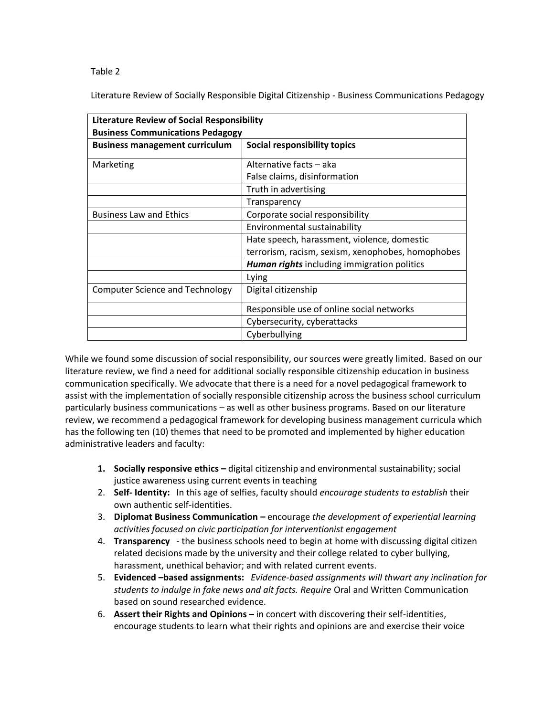Table 2

Literature Review of Socially Responsible Digital Citizenship - Business Communications Pedagogy

| <b>Literature Review of Social Responsibility</b> |                                                    |  |  |
|---------------------------------------------------|----------------------------------------------------|--|--|
| <b>Business Communications Pedagogy</b>           |                                                    |  |  |
| <b>Business management curriculum</b>             | <b>Social responsibility topics</b>                |  |  |
| Marketing                                         | Alternative facts - aka                            |  |  |
|                                                   | False claims, disinformation                       |  |  |
|                                                   | Truth in advertising                               |  |  |
|                                                   | Transparency                                       |  |  |
| <b>Business Law and Ethics</b>                    | Corporate social responsibility                    |  |  |
|                                                   | Environmental sustainability                       |  |  |
|                                                   | Hate speech, harassment, violence, domestic        |  |  |
|                                                   | terrorism, racism, sexism, xenophobes, homophobes  |  |  |
|                                                   | <b>Human rights</b> including immigration politics |  |  |
|                                                   | Lying                                              |  |  |
| <b>Computer Science and Technology</b>            | Digital citizenship                                |  |  |
|                                                   | Responsible use of online social networks          |  |  |
|                                                   | Cybersecurity, cyberattacks                        |  |  |
|                                                   | Cyberbullying                                      |  |  |

While we found some discussion of social responsibility, our sources were greatly limited. Based on our literature review, we find a need for additional socially responsible citizenship education in business communication specifically. We advocate that there is a need for a novel pedagogical framework to assist with the implementation of socially responsible citizenship across the business school curriculum particularly business communications – as well as other business programs. Based on our literature review, we recommend a pedagogical framework for developing business management curricula which has the following ten (10) themes that need to be promoted and implemented by higher education administrative leaders and faculty:

- **1. Socially responsive ethics –** digital citizenship and environmental sustainability; social justice awareness using current events in teaching
- 2. **Self- Identity:** In this age of selfies, faculty should *encourage students to establish* their own authentic self-identities.
- 3. **Diplomat Business Communication –** encourage *the development of experiential learning activities focused on civic participation for interventionist engagement*
- 4. **Transparency** *-* the business schools need to begin at home with discussing digital citizen related decisions made by the university and their college related to cyber bullying, harassment, unethical behavior; and with related current events.
- 5. **Evidenced –based assignments:** *Evidence-based assignments will thwart any inclination for students to indulge in fake news and alt facts. Require* Oral and Written Communication based on sound researched evidence.
- 6. **Assert their Rights and Opinions –** in concert with discovering their self-identities, encourage students to learn what their rights and opinions are and exercise their voice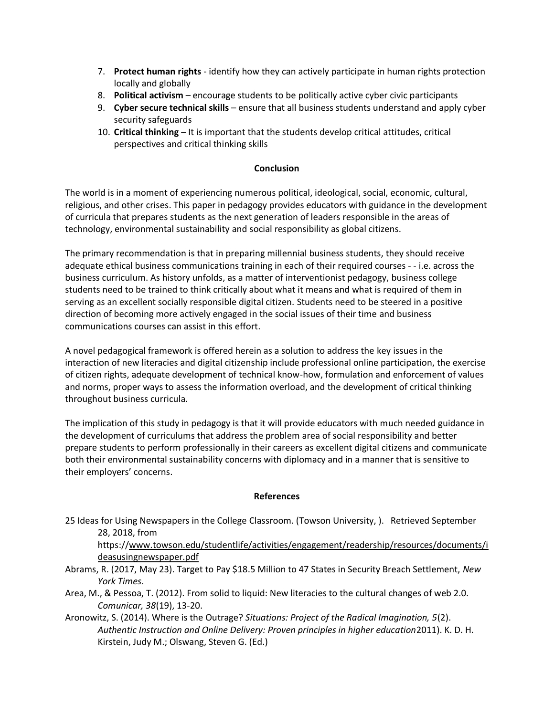- 7. **Protect human rights** identify how they can actively participate in human rights protection locally and globally
- 8. **Political activism**  encourage students to be politically active cyber civic participants
- 9. **Cyber secure technical skills** ensure that all business students understand and apply cyber security safeguards
- 10. **Critical thinking** It is important that the students develop critical attitudes, critical perspectives and critical thinking skills

#### **Conclusion**

The world is in a moment of experiencing numerous political, ideological, social, economic, cultural, religious, and other crises. This paper in pedagogy provides educators with guidance in the development of curricula that prepares students as the next generation of leaders responsible in the areas of technology, environmental sustainability and social responsibility as global citizens.

The primary recommendation is that in preparing millennial business students, they should receive adequate ethical business communications training in each of their required courses - - i.e. across the business curriculum. As history unfolds, as a matter of interventionist pedagogy, business college students need to be trained to think critically about what it means and what is required of them in serving as an excellent socially responsible digital citizen. Students need to be steered in a positive direction of becoming more actively engaged in the social issues of their time and business communications courses can assist in this effort.

A novel pedagogical framework is offered herein as a solution to address the key issues in the interaction of new literacies and digital citizenship include professional online participation, the exercise of citizen rights, adequate development of technical know-how, formulation and enforcement of values and norms, proper ways to assess the information overload, and the development of critical thinking throughout business curricula.

The implication of this study in pedagogy is that it will provide educators with much needed guidance in the development of curriculums that address the problem area of social responsibility and better prepare students to perform professionally in their careers as excellent digital citizens and communicate both their environmental sustainability concerns with diplomacy and in a manner that is sensitive to their employers' concerns.

#### **References**

<span id="page-15-4"></span>25 Ideas for Using Newspapers in the College Classroom. (Towson University, ). Retrieved September 28, 2018, from

https:/[/www.towson.edu/studentlife/activities/engagement/readership/resources/documents/i](http://www.towson.edu/studentlife/activities/engagement/readership/resources/documents/ideasusingnewspaper.pdf) [deasusingnewspaper.pdf](http://www.towson.edu/studentlife/activities/engagement/readership/resources/documents/ideasusingnewspaper.pdf)

- <span id="page-15-0"></span>Abrams, R. (2017, May 23). Target to Pay \$18.5 Million to 47 States in Security Breach Settlement, *New York Times*.
- <span id="page-15-1"></span>Area, M., & Pessoa, T. (2012). From solid to liquid: New literacies to the cultural changes of web 2.0. *Comunicar, 38*(19), 13-20.
- <span id="page-15-3"></span><span id="page-15-2"></span>Aronowitz, S. (2014). Where is the Outrage? *Situations: Project of the Radical Imagination, 5*(2). *Authentic Instruction and Online Delivery: Proven principles in higher education*2011). K. D. H. Kirstein, Judy M.; Olswang, Steven G. (Ed.)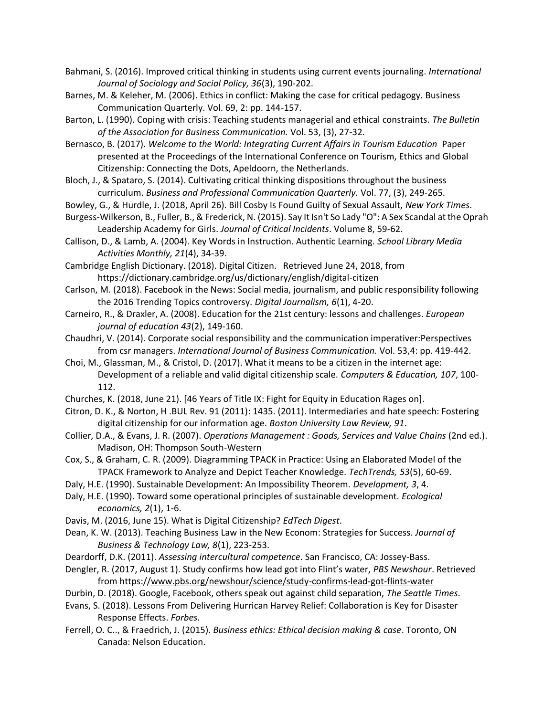- <span id="page-16-19"></span>Bahmani, S. (2016). Improved critical thinking in students using current events journaling. *International Journal of Sociology and Social Policy, 36*(3), 190-202.
- <span id="page-16-14"></span>Barnes, M. & Keleher, M. (2006). Ethics in conflict: Making the case for critical pedagogy. Business Communication Quarterly. Vol. 69, 2: pp. 144-157.
- Barton, L. (1990). Coping with crisis: Teaching students managerial and ethical constraints. *The Bulletin of the Association for Business Communication.* Vol. 53, (3), 27-32.
- Bernasco, B. (2017). *Welcome to the World: Integrating Current Affairs in Tourism Education* Paper presented at the Proceedings of the International Conference on Tourism, Ethics and Global Citizenship: Connecting the Dots, Apeldoorn, the Netherlands.
- <span id="page-16-6"></span>Bloch, J., & Spataro, S. (2014). Cultivating critical thinking dispositions throughout the business curriculum. *Business and Professional Communication Quarterly.* Vol. 77, (3), 249-265.
- Bowley, G., & Hurdle, J. (2018, April 26). Bill Cosby Is Found Guilty of Sexual Assault, *New York Times*.
- <span id="page-16-17"></span>Burgess-Wilkerson, B., Fuller, B., & Frederick, N. (2015). Say It Isn't So Lady "O": A Sex Scandal at the Oprah Leadership Academy for Girls. *Journal of Critical Incidents*. Volume 8, 59-62.
- Callison, D., & Lamb, A. (2004). Key Words in Instruction. Authentic Learning. *School Library Media Activities Monthly, 21*(4), 34-39.
- <span id="page-16-1"></span>Cambridge English Dictionary. (2018). Digital Citizen. Retrieved June 24, 2018, from https://dictionary.cambridge.org/us/dictionary/english/digital-citizen
- <span id="page-16-11"></span>Carlson, M. (2018). Facebook in the News: Social media, journalism, and public responsibility following the 2016 Trending Topics controversy. *Digital Journalism, 6*(1), 4-20.
- <span id="page-16-20"></span>Carneiro, R., & Draxler, A. (2008). Education for the 21st century: lessons and challenges. *European journal of education 43*(2), 149-160.
- <span id="page-16-12"></span>Chaudhri, V. (2014). Corporate social responsibility and the communication imperativer:Perspectives from csr managers. *International Journal of Business Communication.* Vol. 53,4: pp. 419-442.
- Choi, M., Glassman, M., & Cristol, D. (2017). What it means to be a citizen in the internet age: Development of a reliable and valid digital citizenship scale. *Computers & Education, 107*, 100- 112.
- <span id="page-16-9"></span>Churches, K. (2018, June 21). [46 Years of Title IX: Fight for Equity in Education Rages on].
- <span id="page-16-10"></span>Citron, D. K., & Norton, H .BUL Rev. 91 (2011): 1435. (2011). Intermediaries and hate speech: Fostering digital citizenship for our information age. *Boston University Law Review, 91*.
- <span id="page-16-5"></span>Collier, D.A., & Evans, J. R. (2007). *Operations Management : Goods, Services and Value Chains* (2nd ed.). Madison, OH: Thompson South-Western
- <span id="page-16-18"></span>Cox, S., & Graham, C. R. (2009). Diagramming TPACK in Practice: Using an Elaborated Model of the TPACK Framework to Analyze and Depict Teacher Knowledge. *TechTrends, 53*(5), 60-69.
- <span id="page-16-3"></span>Daly, H.E. (1990). Sustainable Development: An Impossibility Theorem. *Development, 3*, 4.
- <span id="page-16-4"></span>Daly, H.E. (1990). Toward some operational principles of sustainable development. *Ecological economics, 2*(1), 1-6.
- <span id="page-16-0"></span>Davis, M. (2016, June 15). What is Digital Citizenship? *EdTech Digest*.
- <span id="page-16-15"></span>Dean, K. W. (2013). Teaching Business Law in the New Econom: Strategies for Success. *Journal of Business & Technology Law, 8*(1), 223-253.
- <span id="page-16-16"></span>Deardorff, D.K. (2011). *Assessing intercultural competence*. San Francisco, CA: Jossey-Bass.
- <span id="page-16-13"></span>Dengler, R. (2017, August 1). Study confirms how lead got into Flint's water, *PBS Newshour*. Retrieved from https:/[/www.pbs.org/newshour/science/study-confirms-lead-got-flints-water](http://www.pbs.org/newshour/science/study-confirms-lead-got-flints-water)
- <span id="page-16-8"></span>Durbin, D. (2018). Google, Facebook, others speak out against child separation, *The Seattle Times*.
- <span id="page-16-7"></span>Evans, S. (2018). Lessons From Delivering Hurrican Harvey Relief: Collaboration is Key for Disaster Response Effects. *Forbes*.
- <span id="page-16-2"></span>Ferrell, O. C.., & Fraedrich, J. (2015). *Business ethics: Ethical decision making & case*. Toronto, ON Canada: Nelson Education.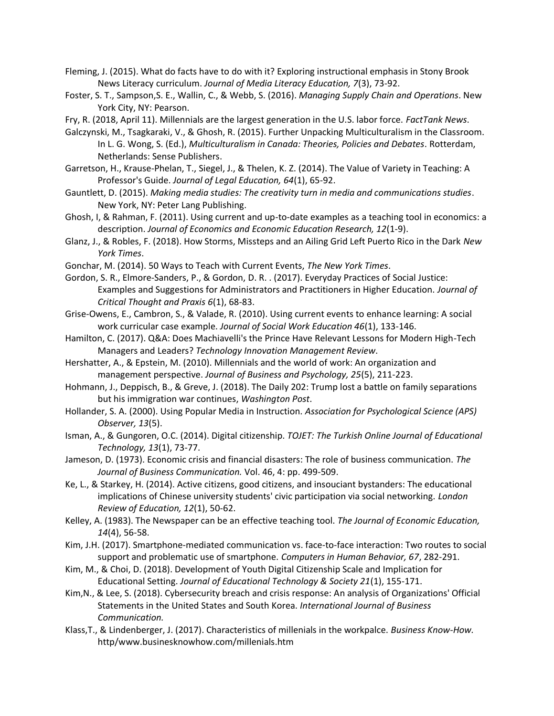- <span id="page-17-19"></span>Fleming, J. (2015). What do facts have to do with it? Exploring instructional emphasis in Stony Brook News Literacy curriculum. *Journal of Media Literacy Education, 7*(3), 73-92.
- <span id="page-17-1"></span>Foster, S. T., Sampson,S. E., Wallin, C., & Webb, S. (2016). *Managing Supply Chain and Operations*. New York City, NY: Pearson.
- <span id="page-17-0"></span>Fry, R. (2018, April 11). Millennials are the largest generation in the U.S. labor force. *FactTank News*.
- <span id="page-17-12"></span>Galczynski, M., Tsagkaraki, V., & Ghosh, R. (2015). Further Unpacking Multiculturalism in the Classroom. In L. G. Wong, S. (Ed.), *Multiculturalism in Canada: Theories, Policies and Debates*. Rotterdam, Netherlands: Sense Publishers.
- <span id="page-17-16"></span>Garretson, H., Krause-Phelan, T., Siegel, J., & Thelen, K. Z. (2014). The Value of Variety in Teaching: A Professor's Guide. *Journal of Legal Education, 64*(1), 65-92.
- <span id="page-17-20"></span>Gauntlett, D. (2015). *Making media studies: The creativity turn in media and communications studies*. New York, NY: Peter Lang Publishing.
- <span id="page-17-15"></span>Ghosh, I, & Rahman, F. (2011). Using current and up-to-date examples as a teaching tool in economics: a description. *Journal of Economics and Economic Education Research, 12*(1-9).
- <span id="page-17-2"></span>Glanz, J., & Robles, F. (2018). How Storms, Missteps and an Ailing Grid Left Puerto Rico in the Dark *New York Times*.
- <span id="page-17-18"></span>Gonchar, M. (2014). 50 Ways to Teach with Current Events, *The New York Times*.
- <span id="page-17-13"></span>Gordon, S. R., Elmore-Sanders, P., & Gordon, D. R. . (2017). Everyday Practices of Social Justice: Examples and Suggestions for Administrators and Practitioners in Higher Education. *Journal of Critical Thought and Praxis 6*(1), 68-83.
- <span id="page-17-11"></span>Grise-Owens, E., Cambron, S., & Valade, R. (2010). Using current events to enhance learning: A social work curricular case example. *Journal of Social Work Education 46*(1), 133-146.
- <span id="page-17-4"></span>Hamilton, C. (2017). Q&A: Does Machiavelli's the Prince Have Relevant Lessons for Modern High-Tech Managers and Leaders? *Technology Innovation Management Review*.
- <span id="page-17-8"></span>Hershatter, A., & Epstein, M. (2010). Millennials and the world of work: An organization and management perspective. *Journal of Business and Psychology, 25*(5), 211-223.
- <span id="page-17-3"></span>Hohmann, J., Deppisch, B., & Greve, J. (2018). The Daily 202: Trump lost a battle on family separations but his immigration war continues, *Washington Post*.
- <span id="page-17-17"></span>Hollander, S. A. (2000). Using Popular Media in Instruction. *Association for Psychological Science (APS) Observer, 13*(5).
- <span id="page-17-7"></span>Isman, A., & Gungoren, O.C. (2014). Digital citizenship. *TOJET: The Turkish Online Journal of Educational Technology, 13*(1), 73-77.
- <span id="page-17-5"></span>Jameson, D. (1973). Economic crisis and financial disasters: The role of business communication. *The Journal of Business Communication.* Vol. 46, 4: pp. 499-509.
- Ke, L., & Starkey, H. (2014). Active citizens, good citizens, and insouciant bystanders: The educational implications of Chinese university students' civic participation via social networking. *London Review of Education, 12*(1), 50-62.
- <span id="page-17-14"></span>Kelley, A. (1983). The Newspaper can be an effective teaching tool. *The Journal of Economic Education, 14*(4), 56-58.
- <span id="page-17-9"></span>Kim, J.H. (2017). Smartphone-mediated communication vs. face-to-face interaction: Two routes to social support and problematic use of smartphone. *Computers in Human Behavior, 67*, 282-291.
- <span id="page-17-6"></span>Kim, M., & Choi, D. (2018). Development of Youth Digital Citizenship Scale and Implication for Educational Setting. *Journal of Educational Technology & Society 21*(1), 155-171.
- <span id="page-17-10"></span>Kim,N., & Lee, S. (2018). Cybersecurity breach and crisis response: An analysis of Organizations' Official Statements in the United States and South Korea. *International Journal of Business Communication.*
- Klass,T., & Lindenberger, J. (2017). Characteristics of millenials in the workpalce. *Business Know-How.*  http/www.businesknowhow.com/millenials.htm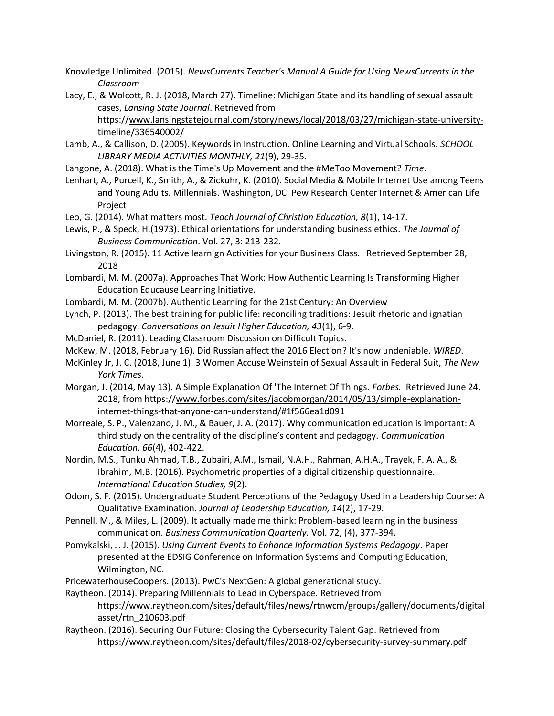Knowledge Unlimited. (2015). *NewsCurrents Teacher's Manual A Guide for Using NewsCurrents in the Classroom* 

<span id="page-18-4"></span>Lacy, E., & Wolcott, R. J. (2018, March 27). Timeline: Michigan State and its handling of sexual assault cases, *Lansing State Journal*. Retrieved from https:/[/www.lansingstatejournal.com/story/news/local/2018/03/27/michigan-state-university](http://www.lansingstatejournal.com/story/news/local/2018/03/27/michigan-state-university-timeline/336540002/)[timeline/336540002/](http://www.lansingstatejournal.com/story/news/local/2018/03/27/michigan-state-university-timeline/336540002/)

<span id="page-18-13"></span>Lamb, A., & Callison, D. (2005). Keywords in Instruction. Online Learning and Virtual Schools. *SCHOOL LIBRARY MEDIA ACTIVITIES MONTHLY, 21*(9), 29-35.

- Langone, A. (2018). What is the Time's Up Movement and the #MeToo Movement? *Time*.
- <span id="page-18-7"></span>Lenhart, A., Purcell, K., Smith, A., & Zickuhr, K. (2010). Social Media & Mobile Internet Use among Teens and Young Adults. Millennials. Washington, DC: Pew Research Center Internet & American Life **Project**
- <span id="page-18-14"></span>Leo, G. (2014). What matters most. *Teach Journal of Christian Education, 8*(1), 14-17.
- <span id="page-18-15"></span>Lewis, P., & Speck, H.(1973). Ethical orientations for understanding business ethics. *The Journal of Business Communication*. Vol. 27, 3: 213-232.
- Livingston, R. (2015). 11 Active learnign Activities for your Business Class. Retrieved September 28, 2018
- <span id="page-18-11"></span>Lombardi, M. M. (2007a). Approaches That Work: How Authentic Learning Is Transforming Higher Education Educause Learning Initiative.
- <span id="page-18-12"></span>Lombardi, M. M. (2007b). Authentic Learning for the 21st Century: An Overview
- <span id="page-18-16"></span>Lynch, P. (2013). The best training for public life: reconciling traditions: Jesuit rhetoric and ignatian pedagogy. *Conversations on Jesuit Higher Education, 43*(1), 6-9.
- <span id="page-18-17"></span>McDaniel, R. (2011). Leading Classroom Discussion on Difficult Topics.
- <span id="page-18-2"></span>McKew, M. (2018, February 16). Did Russian affect the 2016 Election? It's now undeniable. *WIRED*.
- <span id="page-18-3"></span>McKinley Jr, J. C. (2018, June 1). 3 Women Accuse Weinstein of Sexual Assault in Federal Suit, *The New York Times*.
- <span id="page-18-5"></span>Morgan, J. (2014, May 13). A Simple Explanation Of 'The Internet Of Things. *Forbes.* Retrieved June 24, 2018, from https:/[/www.forbes.com/sites/jacobmorgan/2014/05/13/simple-explanation](http://www.forbes.com/sites/jacobmorgan/2014/05/13/simple-explanation-internet-things-that-anyone-can-understand/#1f566ea1d091)[internet-things-that-anyone-can-understand/#1f566ea1d091](http://www.forbes.com/sites/jacobmorgan/2014/05/13/simple-explanation-internet-things-that-anyone-can-understand/#1f566ea1d091)
- <span id="page-18-8"></span>Morreale, S. P., Valenzano, J. M., & Bauer, J. A. (2017). Why communication education is important: A third study on the centrality of the discipline's content and pedagogy. *Communication Education, 66*(4), 402-422.
- <span id="page-18-6"></span>Nordin, M.S., Tunku Ahmad, T.B., Zubairi, A.M., Ismail, N.A.H., Rahman, A.H.A., Trayek, F. A. A., & Ibrahim, M.B. (2016). Psychometric properties of a digital citizenship questionnaire. *International Education Studies, 9*(2).
- <span id="page-18-10"></span>Odom, S. F. (2015). Undergraduate Student Perceptions of the Pedagogy Used in a Leadership Course: A Qualitative Examination. *Journal of Leadership Education, 14*(2), 17-29.
- <span id="page-18-9"></span>Pennell, M., & Miles, L. (2009). It actually made me think: Problem-based learning in the business communication. *Business Communication Quarterly.* Vol. 72, (4), 377-394.
- Pomykalski, J. J. (2015). *Using Current Events to Enhance Information Systems Pedagogy*. Paper presented at the EDSIG Conference on Information Systems and Computing Education, Wilmington, NC.
- PricewaterhouseCoopers. (2013). PwC's NextGen: A global generational study.
- <span id="page-18-0"></span>Raytheon. (2014). Preparing Millennials to Lead in Cyberspace. Retrieved from https://www.raytheon.com/sites/default/files/news/rtnwcm/groups/gallery/documents/digital asset/rtn\_210603.pdf
- <span id="page-18-1"></span>Raytheon. (2016). Securing Our Future: Closing the Cybersecurity Talent Gap. Retrieved from https://www.raytheon.com/sites/default/files/2018-02/cybersecurity-survey-summary.pdf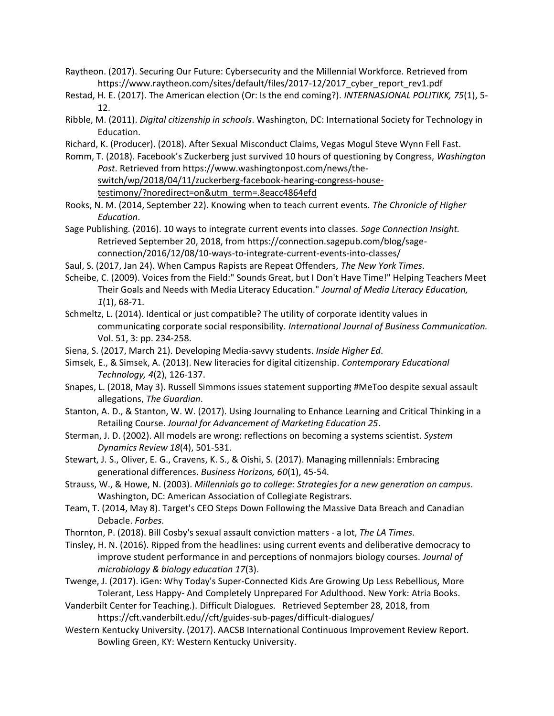- <span id="page-19-2"></span>Raytheon. (2017). Securing Our Future: Cybersecurity and the Millennial Workforce. Retrieved from https://www.raytheon.com/sites/default/files/2017-12/2017\_cyber\_report\_rev1.pdf
- <span id="page-19-10"></span>Restad, H. E. (2017). The American election (Or: Is the end coming?). *INTERNASJONAL POLITIKK, 75*(1), 5- 12.
- <span id="page-19-1"></span>Ribble, M. (2011). *Digital citizenship in schools*. Washington, DC: International Society for Technology in Education.
- <span id="page-19-6"></span>Richard, K. (Producer). (2018). After Sexual Misconduct Claims, Vegas Mogul Steve Wynn Fell Fast.
- <span id="page-19-11"></span>Romm, T. (2018). Facebook's Zuckerberg just survived 10 hours of questioning by Congress, *Washington Post*. Retrieved from https:/[/www.washingtonpost.com/news/the](http://www.washingtonpost.com/news/the-switch/wp/2018/04/11/zuckerberg-facebook-hearing-congress-house-testimony/?noredirect=on&utm_term=.8eacc4864efd)[switch/wp/2018/04/11/zuckerberg-facebook-hearing-congress-house-](http://www.washingtonpost.com/news/the-switch/wp/2018/04/11/zuckerberg-facebook-hearing-congress-house-testimony/?noredirect=on&utm_term=.8eacc4864efd)

[testimony/?noredirect=on&utm\\_term=.8eacc4864efd](http://www.washingtonpost.com/news/the-switch/wp/2018/04/11/zuckerberg-facebook-hearing-congress-house-testimony/?noredirect=on&utm_term=.8eacc4864efd)

- <span id="page-19-14"></span>Rooks, N. M. (2014, September 22). Knowing when to teach current events. *The Chronicle of Higher Education*.
- <span id="page-19-17"></span>Sage Publishing. (2016). 10 ways to integrate current events into classes. *Sage Connection Insight.* Retrieved September 20, 2018, from https://connection.sagepub.com/blog/sageconnection/2016/12/08/10-ways-to-integrate-current-events-into-classes/
- <span id="page-19-7"></span>Saul, S. (2017, Jan 24). When Campus Rapists are Repeat Offenders, *The New York Times*.
- <span id="page-19-16"></span>Scheibe, C. (2009). Voices from the Field:" Sounds Great, but I Don't Have Time!" Helping Teachers Meet Their Goals and Needs with Media Literacy Education." *Journal of Media Literacy Education, 1*(1), 68-71.
- <span id="page-19-20"></span>Schmeltz, L. (2014). Identical or just compatible? The utility of corporate identity values in communicating corporate social responsibility. *International Journal of Business Communication.*  Vol. 51, 3: pp. 234-258.
- Siena, S. (2017, March 21). Developing Media-savvy students. *Inside Higher Ed*.
- <span id="page-19-9"></span>Simsek, E., & Simsek, A. (2013). New literacies for digital citizenship. *Contemporary Educational Technology, 4*(2), 126-137.
- <span id="page-19-5"></span>Snapes, L. (2018, May 3). Russell Simmons issues statement supporting #MeToo despite sexual assault allegations, *The Guardian*.
- <span id="page-19-18"></span>Stanton, A. D., & Stanton, W. W. (2017). Using Journaling to Enhance Learning and Critical Thinking in a Retailing Course. *Journal for Advancement of Marketing Education 25*.
- <span id="page-19-12"></span>Sterman, J. D. (2002). All models are wrong: reflections on becoming a systems scientist. *System Dynamics Review 18*(4), 501-531.
- <span id="page-19-8"></span>Stewart, J. S., Oliver, E. G., Cravens, K. S., & Oishi, S. (2017). Managing millennials: Embracing generational differences. *Business Horizons, 60*(1), 45-54.
- <span id="page-19-0"></span>Strauss, W., & Howe, N. (2003). *Millennials go to college: Strategies for a new generation on campus*. Washington, DC: American Association of Collegiate Registrars.
- <span id="page-19-3"></span>Team, T. (2014, May 8). Target's CEO Steps Down Following the Massive Data Breach and Canadian Debacle. *Forbes*.
- <span id="page-19-4"></span>Thornton, P. (2018). Bill Cosby's sexual assault conviction matters - a lot, *The LA Times*.
- <span id="page-19-15"></span>Tinsley, H. N. (2016). Ripped from the headlines: using current events and deliberative democracy to improve student performance in and perceptions of nonmajors biology courses. *Journal of microbiology & biology education 17*(3).
- <span id="page-19-13"></span>Twenge, J. (2017). iGen: Why Today's Super-Connected Kids Are Growing Up Less Rebellious, More Tolerant, Less Happy- And Completely Unprepared For Adulthood. New York: Atria Books.
- Vanderbilt Center for Teaching.). Difficult Dialogues. Retrieved September 28, 2018, from https://cft.vanderbilt.edu//cft/guides-sub-pages/difficult-dialogues/
- <span id="page-19-19"></span>Western Kentucky University. (2017). AACSB International Continuous Improvement Review Report. Bowling Green, KY: Western Kentucky University.